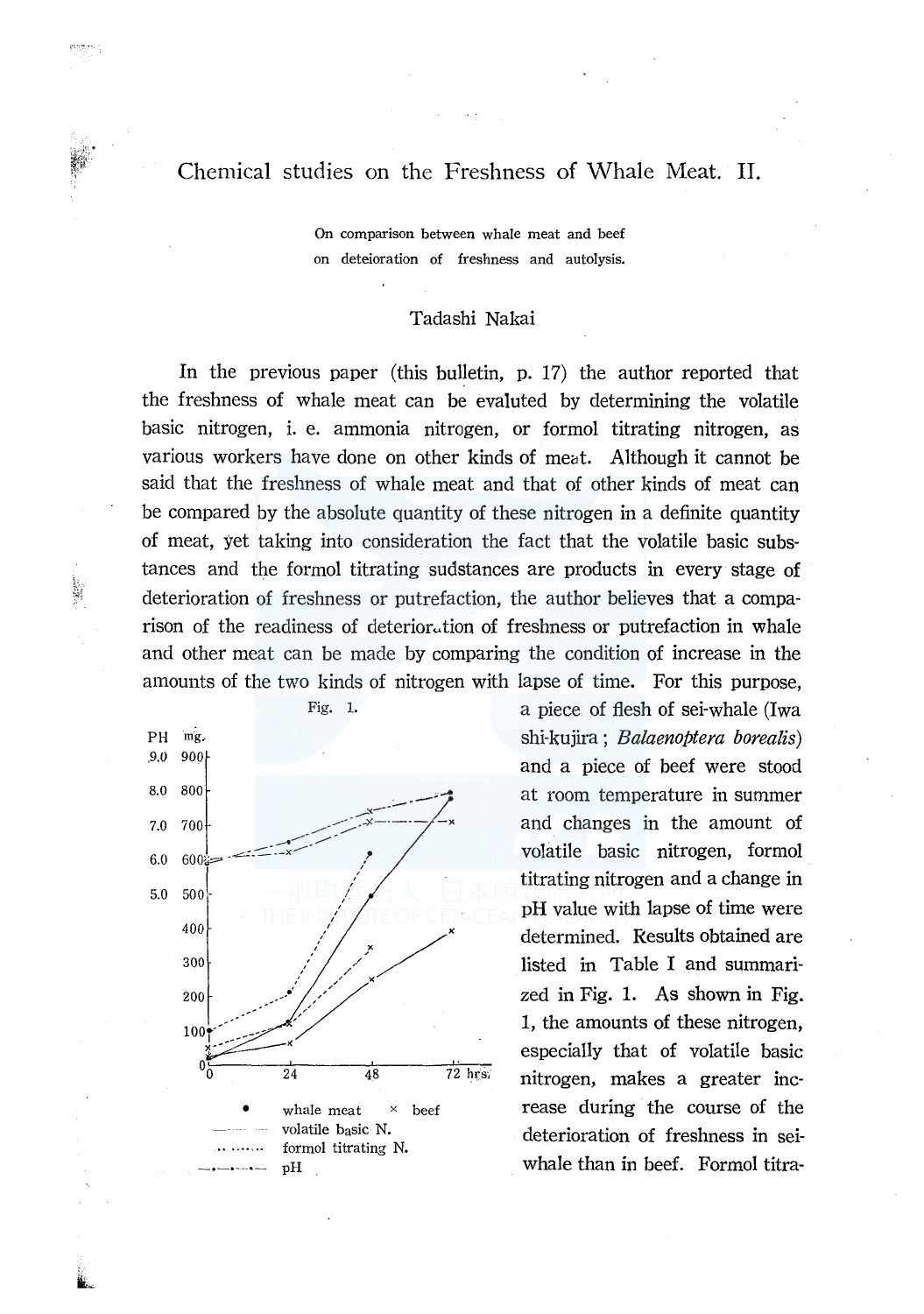# Chemical studies on the Freshness of Whale Meat. II.

geographic

On comparison between whale meat and beef on deteioration of freshness and autolysis.

## Tadashi Nakai

In the previous paper (this bulletin, p. 17) the author reported that the freshness of whale meat can be evaluted by determining the volatile basic nitrogen, i. e. ammonia nitrogen, or formol titrating nitrogen, as various workers have done on other kinds of meat. Although it cannot be said that the freshness of whale meat and that of other kinds of meat can be compared by the absolute quantity of these nitrogen in a definite quantity of meat, yet taking into consideration the fact that the volatile basic substances and the formol titrating sudstances are products in every stage of deterioration of freshness or putrefaction, the author believes that a comparison of the readiness of deterior<sub>ution</sub> of freshness or putrefaction in whale and other meat can be made by comparing the condition of increase in the amounts of the two kinds of nitrogen with lapse of time. For this purpose,



Fig. 1. **a** piece of flesh of sei-whale (Iwa shi-kujira; *Balaenoptera borealis)*  and a piece of beef were stood at room temperature in summer and changes in the amount of vofatile basic nitrogen, formol titrating nitrogen and a change in pH value with lapse of time were determined. Results obtained are listed in Table I and summarized in Fig. 1. As shown in Fig. 1, the amounts of these nitrogen, especially that of volatile basic nitrogen, makes a greater increase during the course of the deterioration of freshness in seiwhale than in beef. Formol titra-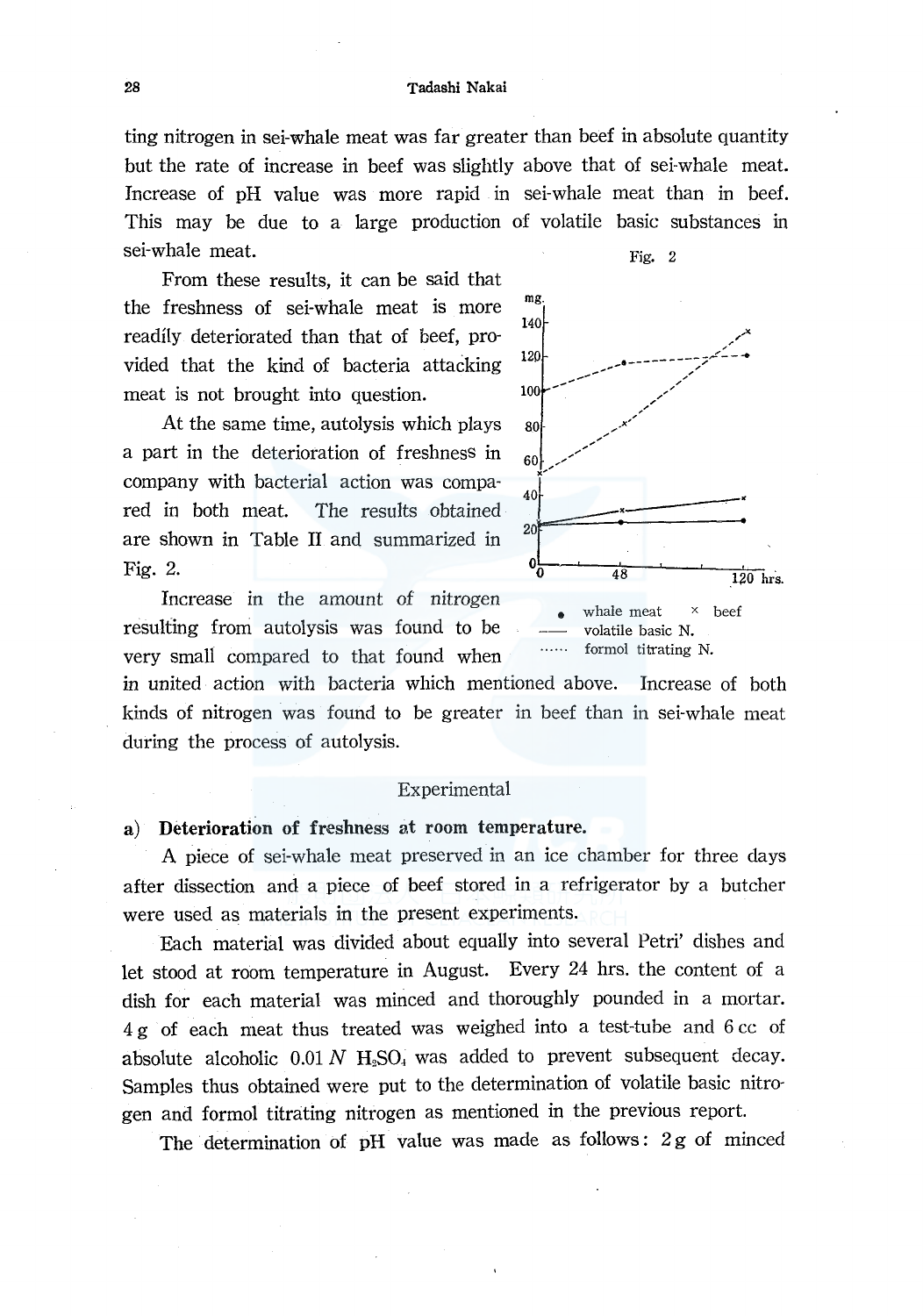#### 28 Tadashi Nakai

ting nitrogen in sei-whale meat was far greater than beef in absolute quantity but the rate of increase in beef was slightly above that of sei-whale meat. Increase of pH value was more rapid in sei-whale meat than in beef. This may be due to a large production of volatile basic substances in sei-whale meat. Fig. 2

From these results, it can be said that the freshness of sei-whale meat is more readily deteriorated than that of beef, provided that the kind of bacteria attacking  $\frac{120}{100}$ meat is not brought into question.

At the same time, autolysis which plays a part in the deterioration of freshness in company with bacterial action was compared in both meat. The results obtained are shown in Table II and summarized in Fig. 2.



mg. 140  $\sim$ م.<br>من المستقبل المستقبل المقدم المقدم المقدم المقدم المقدم المقدم المقدم المقدم المقدم المقدم المقدم المقدم المقد ,,/ *,/*  80 */ x'*   $\begin{array}{c}\n 80 \\
60 \\
\hline\n 40\n \end{array}$ 40<br>20<br>0<br>0<br>48  $0<sub>0</sub>$   $48$   $120$  hrs. whale meat  $\times$  beef volatile basic N.

formol titrating N.

in united action with bacteria which mentioned above. Increase of both kinds of nitrogen was found to be greater in beef than in sei-whale meat during the process of autolysis.

### Experimental

### a) Deterioration of freshness at room temperature.

A piece of sei-whale meat preserved in an ice chamber for three days after dissection and a piece of beef stored in a refrigerator by a butcher were used as materials in the present experiments.

Each material was divided about equally into several Petri' dishes and let stood at room temperature in August. Every 24 hrs. the content of a dish for each material was minced and thoroughly pounded in a mortar. 4 g of each meat thus treated was weighed into a test-tube and 6 cc of absolute alcoholic  $0.01 N$   $H<sub>2</sub>SO<sub>4</sub>$  was added to prevent subsequent decay. Samples thus obtained were put to the determination of volatile basic nitrogen and formol titrating nitrogen as mentioned in the previous report.

The determination of pH value was made as follows:  $2g$  of minced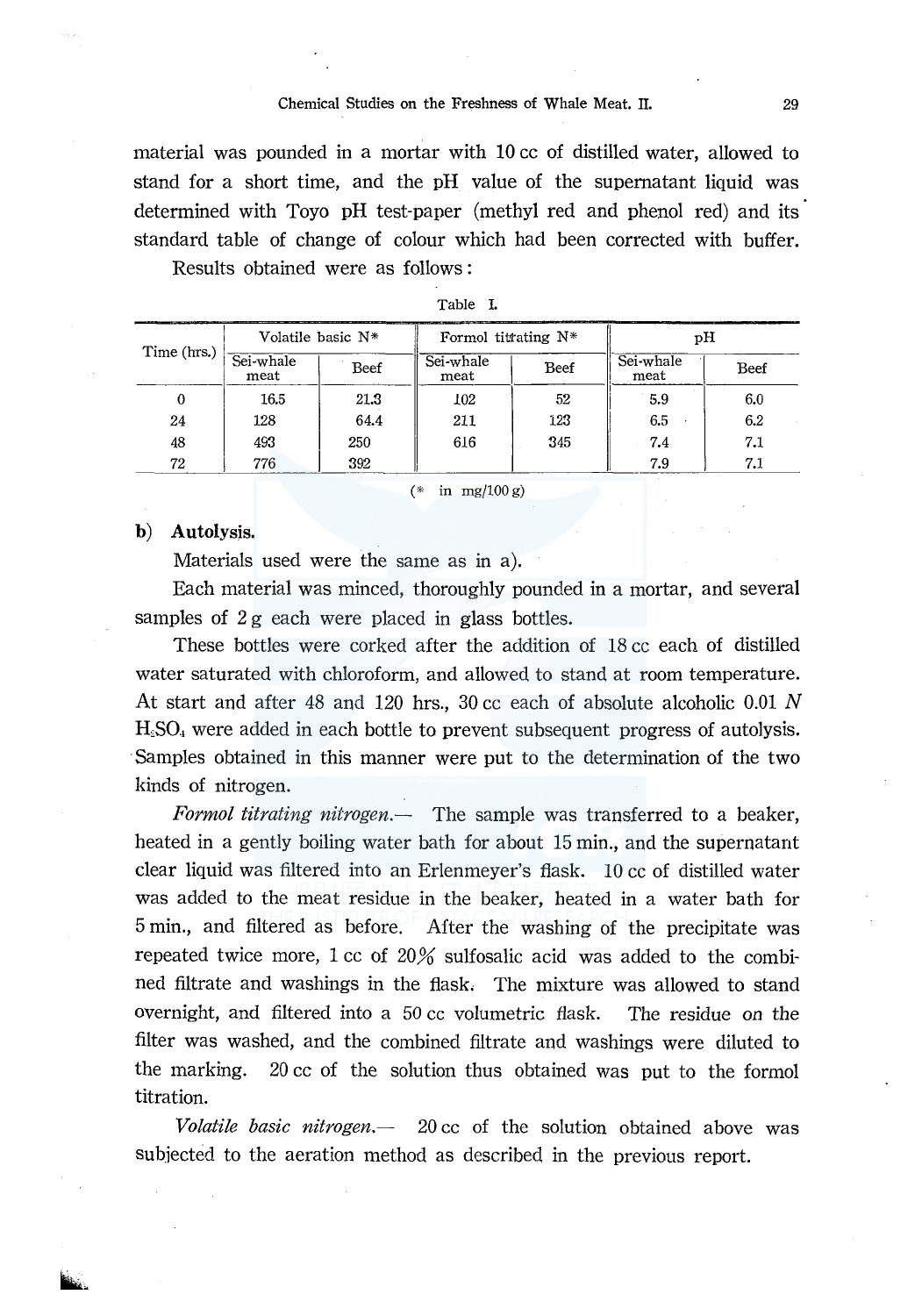#### Chemical Studies on the Freshness of Whale Meat. II. 29

material was pounded in a mortar with 10 cc of distilled water, allowed to stand for a short time, and the pH value of the supernatant liquid was determined with Toyo pH test-paper (methyl red and phenol red) and its standard table of change of colour which had been corrected with buffer.

Results obtained were as follows :

| Time (hrs.)   Sei-whale | Volatile basic N* |      | _________________________<br>Formol titrating $N^*$ |      | рH                |      |
|-------------------------|-------------------|------|-----------------------------------------------------|------|-------------------|------|
|                         | meat              | Beef | Sei-whale<br>meat                                   | Beef | Sei-whale<br>meat | Beef |
| 0                       | 16.5              | 21.3 | 102                                                 | 52   | 5.9               | 6.0  |
| 24                      | 128               | 64.4 | 211                                                 | 123  | 6.5               | 6.2  |
| 48                      | 493               | 250  | 616                                                 | 345  | 7.4               | 7.1  |
| 72                      | 776               | 392  |                                                     |      | 7.9               | 7.1  |

| аπ<br>н |  |
|---------|--|
|         |  |

 $(* \infty)$  mg/100 g)

### b) Autolysis.

Materials used were the same as in a).

Each material was minced, thoroughly pounded in a mortar, and several samples of  $2g$  each were placed in glass bottles.

These bottles were corked after the addition of 18 cc each of distilled water saturated with chloroform, and allowed to stand at room temperature. At start and after 48 and 120 hrs., 30 cc each of absolute alcoholic 0.01 N  $H<sub>2</sub>SO<sub>4</sub>$  were added in each bottle to prevent subsequent progress of autolysis. Samples obtained in this manner were put to the determination of the two kinds of nitrogen.

*Formol titrating nitrogen.-* The sample was transferred to a beaker, heated in a gently boiling water bath for about 15 min., and the supernatant clear liquid was filtered into an Erlenmeyer's flask. 10 cc of distilled water was added to the meat residue in the beaker, heated in a water bath for 5 min., and filtered as before. After the washing of the precipitate was repeated twice more,  $1 \text{ cc}$  of  $20\%$  sulfosalic acid was added to the combined filtrate and washings in the flask, The mixture was allowed to stand overnight, and filtered into a 50 cc volumetric flask. The residue *on* the filter was washed, and the combined filtrate and washings were diluted to the marking. 20 cc of the solution thus obtained was put to the formal titration.

*Volatile basic nitrogen.-* 20 cc of the solution obtained above was subjected to the aeration method as described in the previous report.